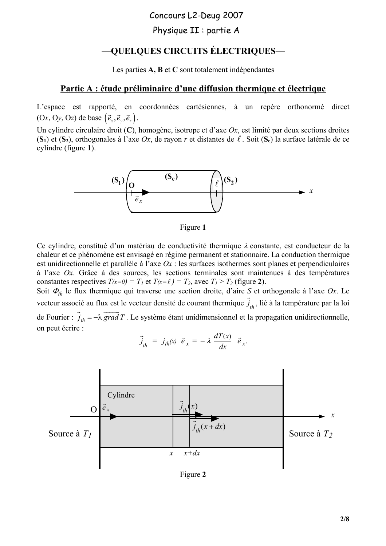## Concours L2-Deug 2007

# Physique II : partie A

# -OUELQUES CIRCUITS ÉLECTRIQUES-

Les parties A, B et C sont totalement indépendantes

#### Partie A : étude préliminaire d'une diffusion thermique et électrique

L'espace est rapporté, en coordonnées cartésiennes, à un repère orthonormé direct  $(0x, 0y, 0z)$  de base  $(\vec{e}_x, \vec{e}_y, \vec{e}_z)$ .

Un cylindre circulaire droit  $(C)$ , homogène, isotrope et d'axe  $Ox$ , est limité par deux sections droites  $(S_1)$  et  $(S_2)$ , orthogonales à l'axe  $Ox$ , de ravon r et distantes de  $\ell$ . Soit  $(S_2)$  la surface latérale de ce cylindre (figure 1).



Figure 1

Ce cylindre, constitué d'un matériau de conductivité thermique  $\lambda$  constante, est conducteur de la chaleur et ce phénomène est envisagé en régime permanent et stationnaire. La conduction thermique est unidirectionnelle et parallèle à l'axe  $Ox$ : les surfaces isothermes sont planes et perpendiculaires à l'axe  $Ox$ . Grâce à des sources, les sections terminales sont maintenues à des températures constantes respectives  $T(x=0) = T_1$  et  $T(x=\ell) = T_2$ , avec  $T_1 > T_2$  (figure 2).

Soit  $\Phi_{th}$  le flux thermique qui traverse une section droite, d'aire S et orthogonale à l'axe Ox. Le vecteur associé au flux est le vecteur densité de courant thermique  $\vec{j}_h$ , lié à la température par la loi de Fourier :  $\vec{j}_{th} = -\lambda \vec{grad} T$ . Le système étant unidimensionnel et la propagation unidirectionnelle, on peut écrire :  $m \sim$ 

$$
\vec{j}_{th} = j_{th}(x) \ \vec{e}_x = -\lambda \frac{dI(x)}{dx} \ \vec{e}_x.
$$



Figure 2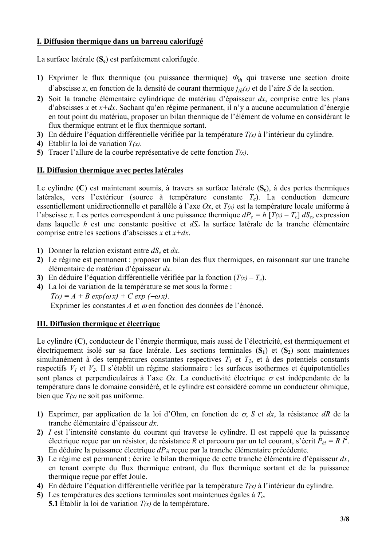#### I. Diffusion thermique dans un barreau calorifugé

La surface latérale  $(S_e)$  est parfaitement calorifugée.

- 1) Exprimer le flux thermique (ou puissance thermique)  $\Phi_{th}$  qui traverse une section droite d'abscisse x, en fonction de la densité de courant thermique  $j_{th}(x)$  et de l'aire S de la section.
- 2) Soit la tranche élémentaire cylindrique de matériau d'épaisseur  $dx$ , comprise entre les plans d'abscisses x et  $x + dx$ . Sachant qu'en régime permanent, il n'y a aucune accumulation d'énergie en tout point du matériau, proposer un bilan thermique de l'élément de volume en considérant le flux thermique entrant et le flux thermique sortant.
- 3) En déduire l'équation différentielle vérifiée par la température  $T(x)$  à l'intérieur du cylindre.
- 4) Etablir la loi de variation  $T(x)$ .
- 5) Tracer l'allure de la courbe représentative de cette fonction  $T(x)$ .

### II. Diffusion thermique avec pertes latérales

Le cylindre  $(C)$  est maintenant soumis, à travers sa surface latérale  $(S_e)$ , à des pertes thermiques latérales, vers l'extérieur (source à température constante  $T_e$ ). La conduction demeure essentiellement unidirectionnelle et parallèle à l'axe  $Ox$ , et  $T(x)$  est la température locale uniforme à l'abscisse x. Les pertes correspondent à une puissance thermique  $dP_e = h [T(x) - T_e] dS_e$ , expression dans laquelle h est une constante positive et  $dS_e$  la surface latérale de la tranche élémentaire comprise entre les sections d'abscisses x et  $x+dx$ .

- 1) Donner la relation existant entre  $dS_e$  et dx.
- 2) Le régime est permanent : proposer un bilan des flux thermiques, en raisonnant sur une tranche élémentaire de matériau d'épaisseur  $dx$ .
- 3) En déduire l'équation différentielle vérifiée par la fonction  $(T(x) T_e)$ .
- 4) La loi de variation de la température se met sous la forme :

 $T(x) = A + B \exp(\omega x) + C \exp(-\omega x)$ .

Exprimer les constantes A et  $\omega$  en fonction des données de l'énoncé.

### III. Diffusion thermique et électrique

Le cylindre  $(C)$ , conducteur de l'énergie thermique, mais aussi de l'électricité, est thermiquement et électriquement isolé sur sa face latérale. Les sections terminales  $(S_1)$  et  $(S_2)$  sont maintenues simultanément à des températures constantes respectives  $T_1$  et  $T_2$ , et à des potentiels constants respectifs  $V_1$  et  $V_2$ . Il s'établit un régime stationnaire : les surfaces isothermes et équipotentielles sont planes et perpendiculaires à l'axe  $Ox$ . La conductivité électrique  $\sigma$  est indépendante de la température dans le domaine considéré, et le cylindre est considéré comme un conducteur ohmique, bien que  $T(x)$  ne soit pas uniforme.

- 1) Exprimer, par application de la loi d'Ohm, en fonction de  $\sigma$ , S et dx, la résistance dR de la tranche élémentaire d'épaisseur dx.
- 2) *I* est l'intensité constante du courant qui traverse le cylindre. Il est rappelé que la puissance électrique reçue par un résistor, de résistance R et parcouru par un tel courant, s'écrit  $P_{el} = R I^2$ . En déduire la puissance électrique  $dP_{el}$  reçue par la tranche élémentaire précédente.
- 3) Le régime est permanent : écrire le bilan thermique de cette tranche élémentaire d'épaisseur  $dx$ , en tenant compte du flux thermique entrant, du flux thermique sortant et de la puissance thermique recue par effet Joule.
- 4) En déduire l'équation différentielle vérifiée par la température  $T(x)$  à l'intérieur du cylindre.
- 5) Les températures des sections terminales sont maintenues égales à  $T<sub>o</sub>$ . **5.1** Établir la loi de variation  $T(x)$  de la température.